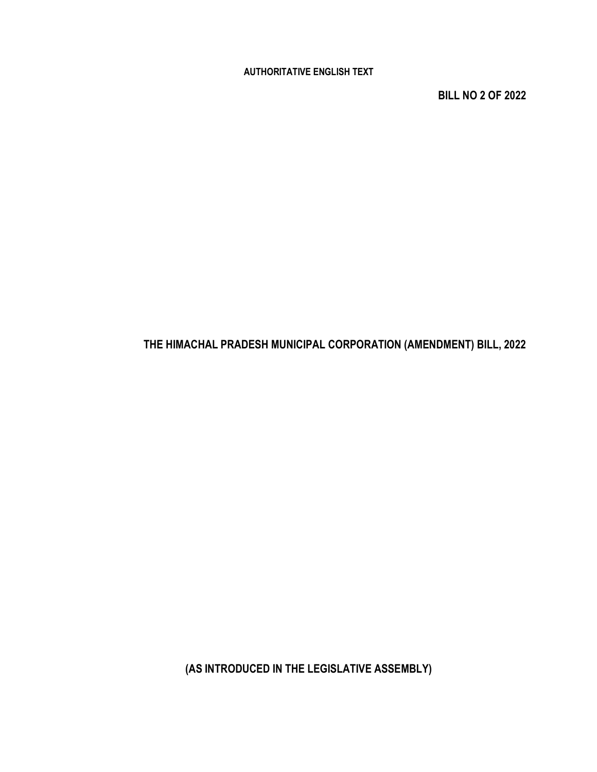AUTHORITATIVE ENGLISH TEXT

BILL NO 2 OF 2022

## THE HIMACHAL PRADESH MUNICIPAL CORPORATION (AMENDMENT) BILL, 2022

(AS INTRODUCED IN THE LEGISLATIVE ASSEMBLY)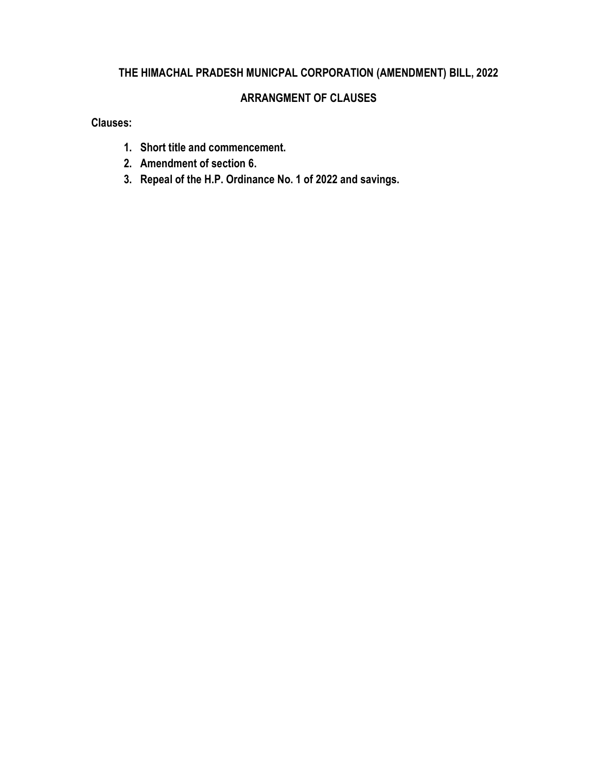## THE HIMACHAL PRADESH MUNICPAL CORPORATION (AMENDMENT) BILL, 2022

### ARRANGMENT OF CLAUSES

Clauses:

- 1. Short title and commencement.
- 2. Amendment of section 6.
- 3. Repeal of the H.P. Ordinance No. 1 of 2022 and savings.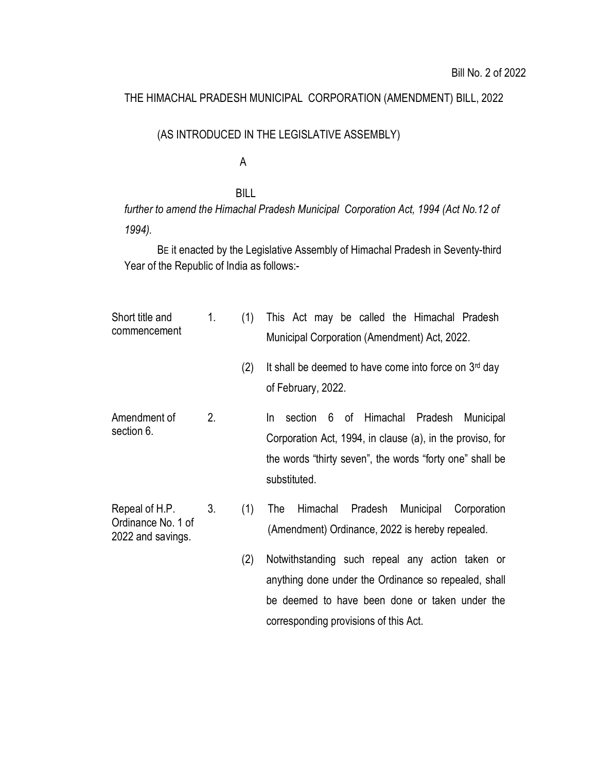#### THE HIMACHAL PRADESH MUNICIPAL CORPORATION (AMENDMENT) BILL, 2022

#### (AS INTRODUCED IN THE LEGISLATIVE ASSEMBLY)

#### A

#### BILL

further to amend the Himachal Pradesh Municipal Corporation Act, 1994 (Act No.12 of 1994).

BE it enacted by the Legislative Assembly of Himachal Pradesh in Seventy-third Year of the Republic of India as follows:-

| Short title and<br>commencement                           | 1. | (1) | This Act may be called the Himachal Pradesh<br>Municipal Corporation (Amendment) Act, 2022.                                                                                                   |
|-----------------------------------------------------------|----|-----|-----------------------------------------------------------------------------------------------------------------------------------------------------------------------------------------------|
|                                                           |    | (2) | It shall be deemed to have come into force on $3rd$ day<br>of February, 2022.                                                                                                                 |
| Amendment of<br>section 6.                                | 2. |     | 6 of Himachal Pradesh<br>section<br>Municipal<br>In.<br>Corporation Act, 1994, in clause (a), in the proviso, for<br>the words "thirty seven", the words "forty one" shall be<br>substituted. |
| Repeal of H.P.<br>Ordinance No. 1 of<br>2022 and savings. | 3. | (1) | Pradesh<br>Municipal<br>The<br>Himachal<br>Corporation<br>(Amendment) Ordinance, 2022 is hereby repealed.                                                                                     |
|                                                           |    | (2) | Notwithstanding such repeal any action taken or<br>anything done under the Ordinance so repealed, shall<br>be deemed to have been done or taken under the                                     |

corresponding provisions of this Act.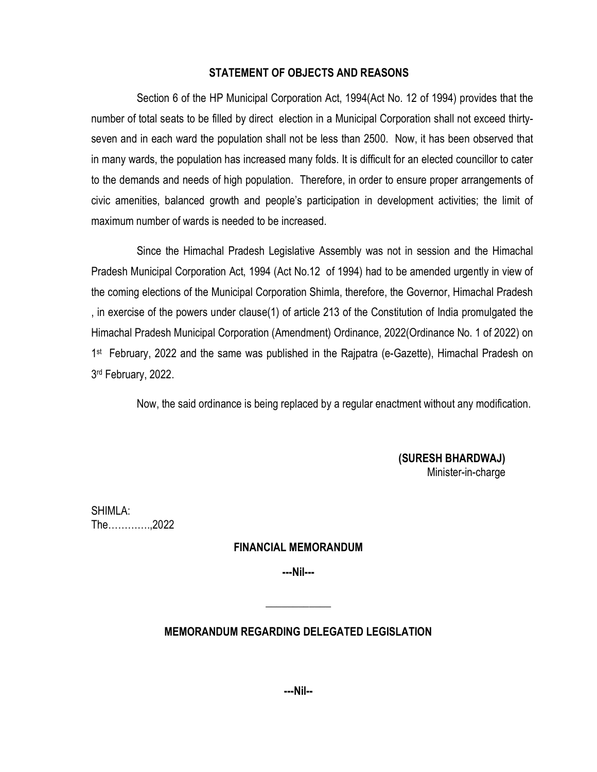#### STATEMENT OF OBJECTS AND REASONS

Section 6 of the HP Municipal Corporation Act, 1994(Act No. 12 of 1994) provides that the number of total seats to be filled by direct election in a Municipal Corporation shall not exceed thirtyseven and in each ward the population shall not be less than 2500. Now, it has been observed that in many wards, the population has increased many folds. It is difficult for an elected councillor to cater to the demands and needs of high population. Therefore, in order to ensure proper arrangements of civic amenities, balanced growth and people's participation in development activities; the limit of maximum number of wards is needed to be increased.

Since the Himachal Pradesh Legislative Assembly was not in session and the Himachal Pradesh Municipal Corporation Act, 1994 (Act No.12 of 1994) had to be amended urgently in view of the coming elections of the Municipal Corporation Shimla, therefore, the Governor, Himachal Pradesh , in exercise of the powers under clause(1) of article 213 of the Constitution of India promulgated the Himachal Pradesh Municipal Corporation (Amendment) Ordinance, 2022(Ordinance No. 1 of 2022) on 1<sup>st</sup> February, 2022 and the same was published in the Rajpatra (e-Gazette), Himachal Pradesh on 3 rd February, 2022.

Now, the said ordinance is being replaced by a regular enactment without any modification.

 (SURESH BHARDWAJ) Minister-in-charge

SHIMLA: The………….,2022

#### FINANCIAL MEMORANDUM

---Nil---

 $\overline{\phantom{a}}$  , where  $\overline{\phantom{a}}$ 

#### MEMORANDUM REGARDING DELEGATED LEGISLATION

---Nil--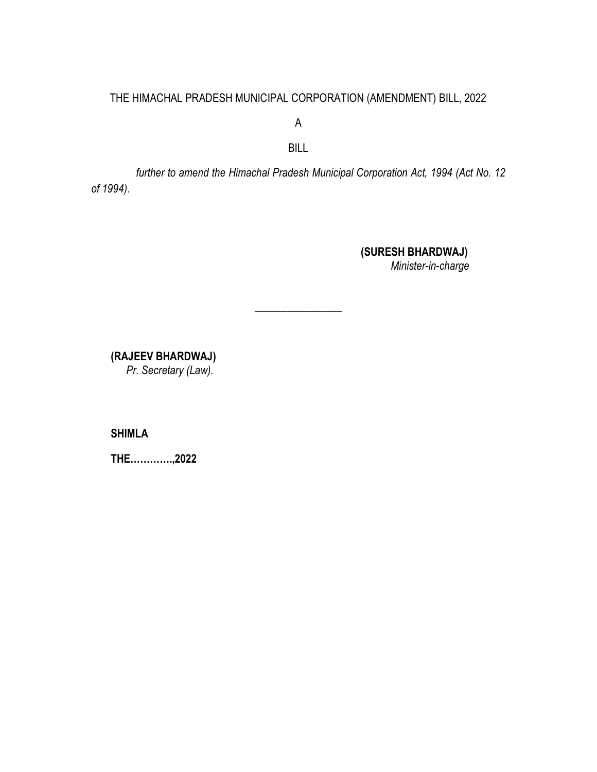#### THE HIMACHAL PRADESH MUNICIPAL CORPORATION (AMENDMENT) BILL, 2022

A

BILL

further to amend the Himachal Pradesh Municipal Corporation Act, 1994 (Act No. 12 of 1994).

\_\_\_\_\_\_\_\_\_\_\_\_\_\_\_\_

 (SURESH BHARDWAJ) Minister-in-charge

(RAJEEV BHARDWAJ)

Pr. Secretary (Law).

SHIMLA

THE………….,2022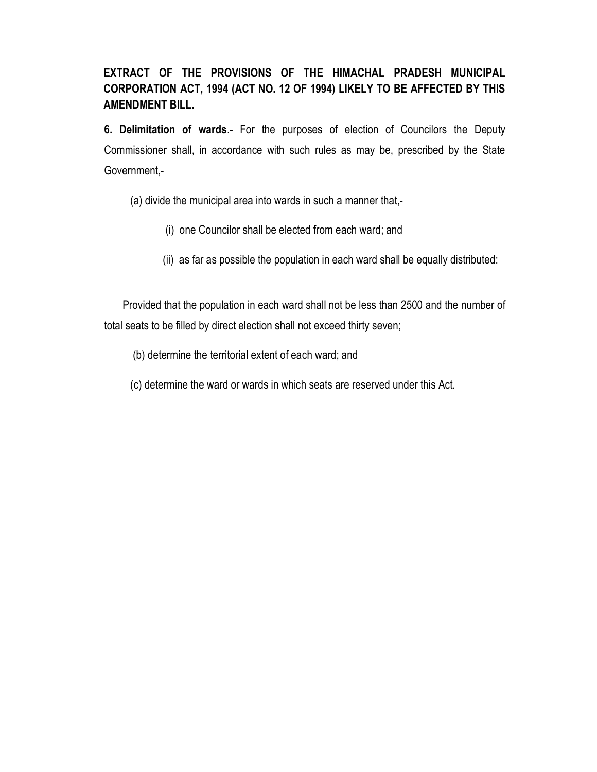## EXTRACT OF THE PROVISIONS OF THE HIMACHAL PRADESH MUNICIPAL CORPORATION ACT, 1994 (ACT NO. 12 OF 1994) LIKELY TO BE AFFECTED BY THIS AMENDMENT BILL.

6. Delimitation of wards.- For the purposes of election of Councilors the Deputy Commissioner shall, in accordance with such rules as may be, prescribed by the State Government,-

(a) divide the municipal area into wards in such a manner that,-

- (i) one Councilor shall be elected from each ward; and
- (ii) as far as possible the population in each ward shall be equally distributed:

 Provided that the population in each ward shall not be less than 2500 and the number of total seats to be filled by direct election shall not exceed thirty seven;

(b) determine the territorial extent of each ward; and

(c) determine the ward or wards in which seats are reserved under this Act.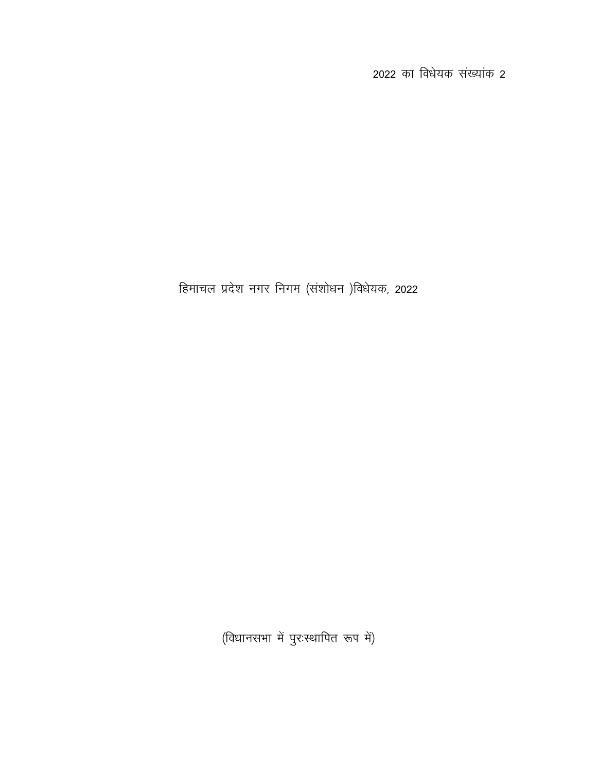2022 का विधेयक संख्यांक 2

हिमाचल प्रदेश नगर निगम (संशोधन)विधेयक, 2022

(विधानसभा में पुरःस्थापित रूप में)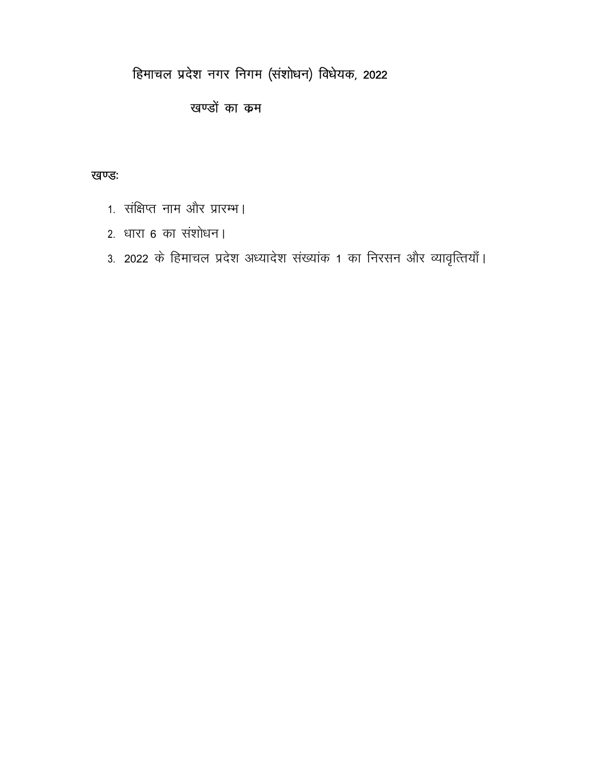# हिमाचल प्रदेश नगर निगम (संशोधन) विधेयक, 2022

# खण्डों का कम

## खण्डः

- 1. संक्षिप्त नाम और प्रारम्भ।
- 2. धारा 6 का संशोधन।
- 3. 2022 के हिमाचल प्रदेश अध्यादेश संख्यांक 1 का निरसन और व्यावृत्तियाँ।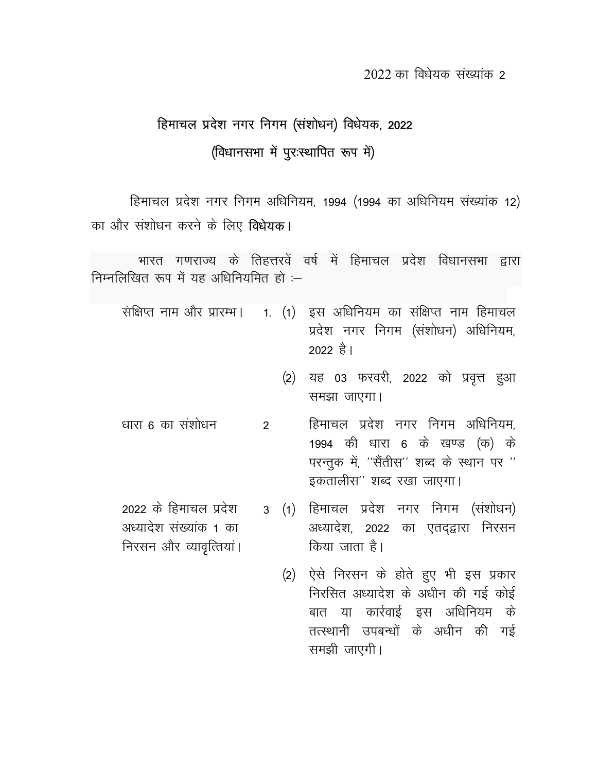# हिमाचल प्रदेश नगर निगम (संशोधन) विधेयक, 2022 (विधानसभा में पूर:स्थापित रूप में)

हिमाचल प्रदेश नगर निगम अधिनियम, 1994 (1994 का अधिनियम संख्यांक 12) का और संशोधन करने के लिए विधेयक।

भारत गणराज्य के तिहत्तरवें वर्ष में हिमाचल प्रदेश विधानसभा द्वारा निम्नलिखित रूप में यह अधिनियमित हो :-

- संक्षिप्त नाम और प्रारम्भ। 1. (1) इस अधिनियम का संक्षिप्त नाम हिमाचल प्रदेश नगर निगम (संशोधन) अधिनियम, 2022 है।
	- (2) यह 03 फरवरी, 2022 को प्रवृत्त हुआ समझा जाएगा।
- धारा 6 का संशोधन हिमाचल प्रदेश नगर निगम अधिनियम,  $\mathcal{P}$ 1994 की धारा 6 के खण्ड (क) के परन्तुक में, ''सैंतीस'' शब्द के स्थान पर '' इकतालीस" शब्द रखा जाएगा।
	- 3 (1) हिमाचल प्रदेश नगर निगम (संशोधन) अध्यादेश, 2022 का एतदद्वारा निरसन किया जाता है।
		- (2) ऐसे निरसन के होते हुए भी इस प्रकार निरसित अध्यादेश के अधीन की गई कोई बात या कार्रवाई इस अधिनियम के तत्स्थानी उपबन्धों के अधीन की गई समझी जाएगी।
- 2022 के हिमाचल प्रदेश अध्यादेश संख्यांक 1 का निरसन और व्यावृत्तियां।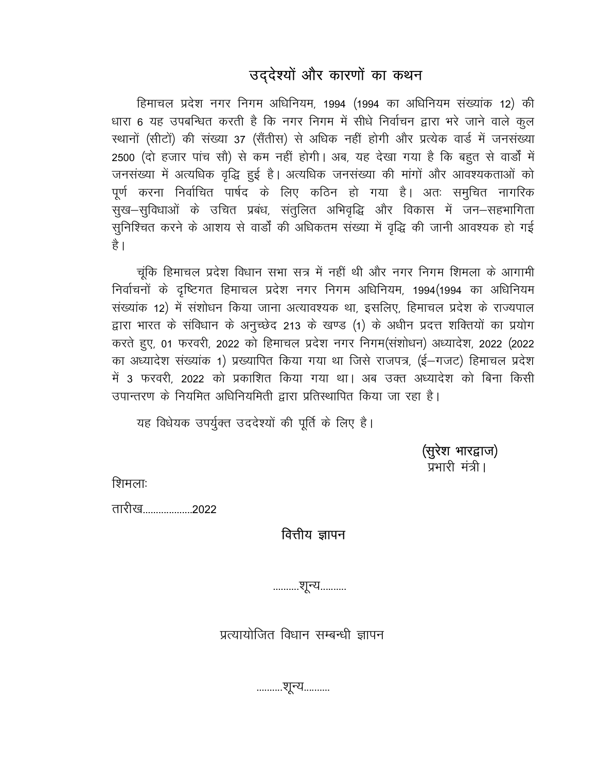# उद्देश्यों और कारणों का कथन

हिमाचल प्रदेश नगर निगम अधिनियम, 1994 (1994 का अधिनियम संख्यांक 12) की धारा 6 यह उपबन्धित करती है कि नगर निगम में सीधे निर्वाचन द्वारा भरे जाने वाले कुल स्थानों (सीटों) की संख्या 37 (सैंतीस) से अधिक नहीं होगी और प्रत्येक वार्ड में जनसंख्या 2500 (दो हजार पांच सौ) से कम नहीं होगी। अब, यह देखा गया है कि बहुत से वार्डों में जनसंख्या में अत्यधिक वृद्धि हुई है। अत्यधिक जनसंख्या की मांगों और आवश्यकताओं को पूर्ण करना निर्वाचित पार्षद के लिए कठिन हो गया है। अतः समुचित नागरिक सुख-सुविधाओं के उचित प्रबंध, संतुलित अभिवृद्धि और विकास में जन–सहभागिता सुनिश्चित करने के आशय से वार्डों की अधिकतम संख्या में वृद्धि की जानी आवश्यक हो गई है ।

चूंकि हिमाचल प्रदेश विधान सभा सत्र में नहीं थी और नगर निगम शिमला के आगामी निर्वाचनों के दृष्टिगत हिमाचल प्रदेश नगर निगम अधिनियम, 1994(1994 का अधिनियम संख्यांक 12) में संशोधन किया जाना अत्यावश्यक था, इसलिए, हिमाचल प्रदेश के राज्यपाल द्वारा भारत के संविधान के अनुच्छेद 213 के खण्ड (1) के अधीन प्रदत्त शक्तियों का प्रयोग करते हुए, 01 फरवरी, 2022 को हिमाचल प्रदेश नगर निगम(संशोधन) अध्यादेश, 2022 (2022 का अध्यादेश संख्यांक 1) प्रख्यापित किया गया था जिसे राजपत्र, (ई-गजट) हिमाचल प्रदेश में 3 फरवरी, 2022 को प्रकाशित किया गया था। अब उक्त अध्यादेश को बिना किसी उपान्तरण के नियमित अधिनियमिती द्वारा प्रतिस्थापित किया जा रहा है।

यह विधेयक उपर्युक्त उददेश्यों की पूर्ति के लिए है।

(सूरेश भारद्वाज) प्रभारी मंत्री।

शिमलाः

तारीख...................2022

वित्तीय ज्ञापन

..........शून्य..........

प्रत्यायोजित विधान सम्बन्धी ज्ञापन

..........शून्य..........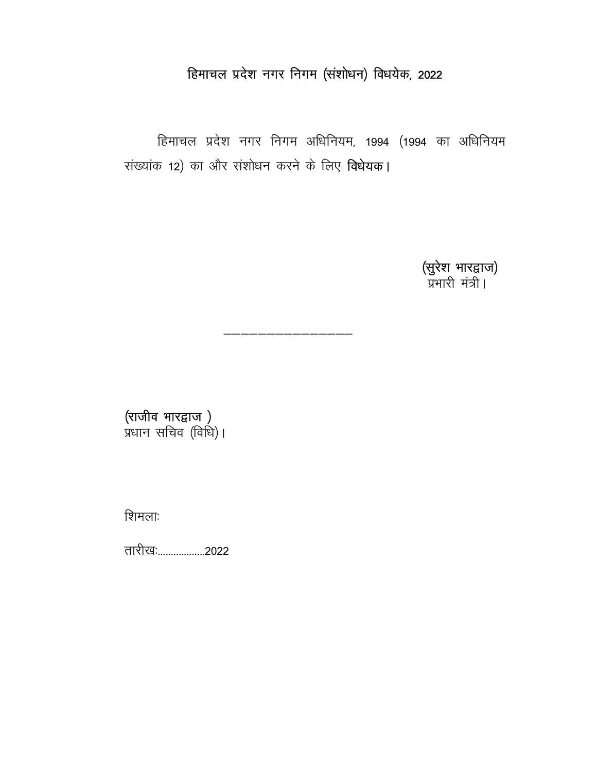# हिमाचल प्रदेश नगर निगम (संशोधन) विधयेक, 2022

हिमाचल प्रदेश नगर निगम अधिनियम, 1994 (1994 का अधिनियम संख्यांक 12) का और संशोधन करने के लिए विधेयक।

**(सुरेश भारद्वाज)**<br>प्रभारी मंत्री।

**(राजीव भारद्वाज )**<br>प्रधान सचिव (विधि)।

शिमलाः

तारीखः..................2022